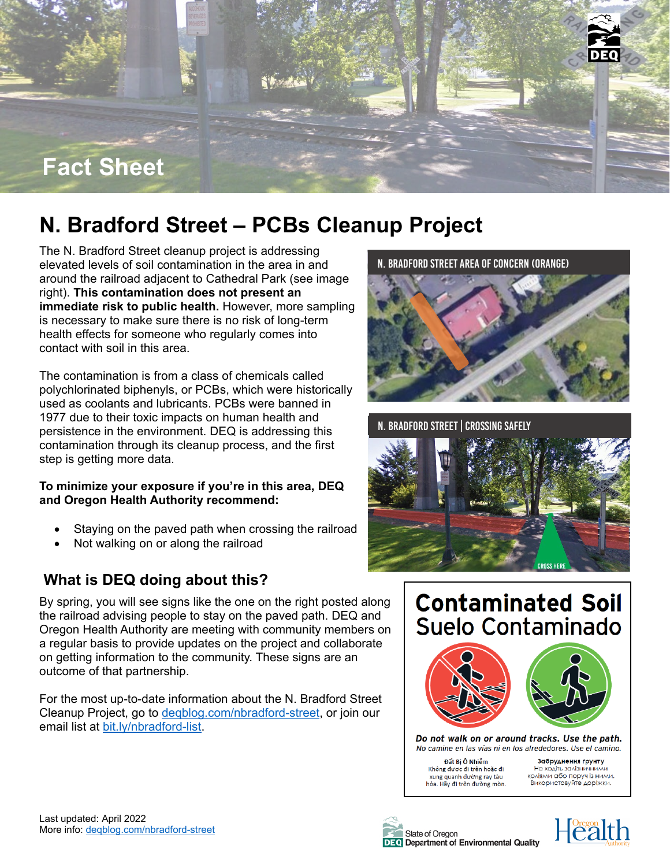

# **N. Bradford Street – PCBs Cleanup Project**

The N. Bradford Street cleanup project is addressing elevated levels of soil contamination in the area in and around the railroad adjacent to Cathedral Park (see image right). **This contamination does not present an immediate risk to public health.** However, more sampling is necessary to make sure there is no risk of long-term health effects for someone who regularly comes into contact with soil in this area.

The contamination is from a class of chemicals called polychlorinated biphenyls, or PCBs, which were historically used as coolants and lubricants. PCBs were banned in 1977 due to their toxic impacts on human health and persistence in the environment. DEQ is addressing this contamination through its cleanup process, and the first step is getting more data.

#### **To minimize your exposure if you're in this area, DEQ and Oregon Health Authority recommend:**

- Staying on the paved path when crossing the railroad
- Not walking on or along the railroad

# **What is DEQ doing about this?**

By spring, you will see signs like the one on the right posted along the railroad advising people to stay on the paved path. DEQ and Oregon Health Authority are meeting with community members on a regular basis to provide updates on the project and collaborate on getting information to the community. These signs are an outcome of that partnership.

For the most up-to-date information about the N. Bradford Street Cleanup Project, go to [deqblog.com/nbradford-street,](https://deqblog.com/nbradford-street) or join our email list at [bit.ly/nbradford-list.](https://bit.ly/nbradford-list)





N. Bradford Street| Crossing safely







Do not walk on or around tracks. Use the path. No camine en las vías ni en los alrededores. Use el camino.

Đất Bị Ô Nhiễm Không được đi trên hoặc đi xung quanh đường ray tàu<br>hỏa. Hãy đi trên đường mòn.

Забруднення ґрунту Не ходіть залізничними коліями або поруч із ними. Використовуйте доріжки.